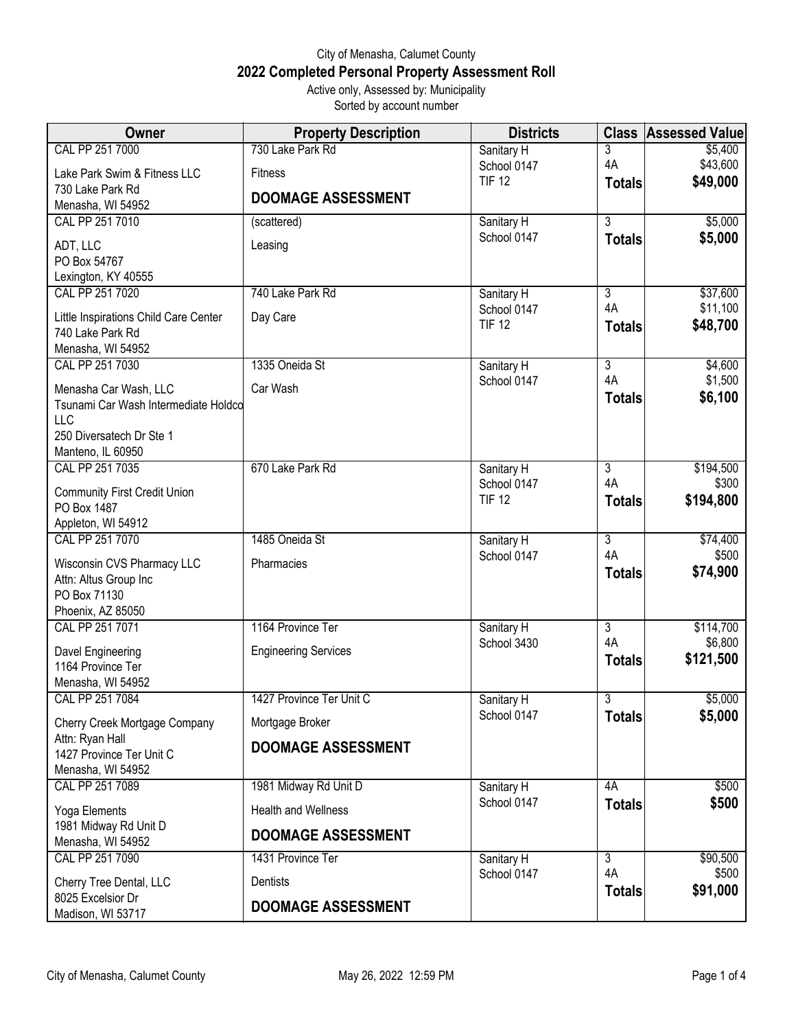## City of Menasha, Calumet County **2022 Completed Personal Property Assessment Roll** Active only, Assessed by: Municipality

Sorted by account number

| <b>Owner</b>                                              | <b>Property Description</b> | <b>Districts</b>             | <b>Class</b>         | <b>Assessed Value</b> |
|-----------------------------------------------------------|-----------------------------|------------------------------|----------------------|-----------------------|
| CAL PP 251 7000                                           | 730 Lake Park Rd            | Sanitary H                   | 3                    | \$5,400               |
| Lake Park Swim & Fitness LLC                              | Fitness                     | School 0147<br><b>TIF 12</b> | 4A                   | \$43,600              |
| 730 Lake Park Rd                                          | <b>DOOMAGE ASSESSMENT</b>   |                              | <b>Totals</b>        | \$49,000              |
| Menasha, WI 54952                                         |                             |                              |                      |                       |
| CAL PP 251 7010                                           | (scattered)                 | Sanitary H<br>School 0147    | $\overline{3}$       | \$5,000<br>\$5,000    |
| ADT, LLC                                                  | Leasing                     |                              | <b>Totals</b>        |                       |
| PO Box 54767<br>Lexington, KY 40555                       |                             |                              |                      |                       |
| CAL PP 251 7020                                           | 740 Lake Park Rd            | Sanitary H                   | $\overline{3}$       | \$37,600              |
|                                                           |                             | School 0147                  | 4A                   | \$11,100              |
| Little Inspirations Child Care Center<br>740 Lake Park Rd | Day Care                    | <b>TIF 12</b>                | <b>Totals</b>        | \$48,700              |
| Menasha, WI 54952                                         |                             |                              |                      |                       |
| CAL PP 251 7030                                           | 1335 Oneida St              | Sanitary H                   | $\overline{3}$       | \$4,600               |
| Menasha Car Wash, LLC                                     | Car Wash                    | School 0147                  | 4A                   | \$1,500               |
| Tsunami Car Wash Intermediate Holdco                      |                             |                              | <b>Totals</b>        | \$6,100               |
| <b>LLC</b>                                                |                             |                              |                      |                       |
| 250 Diversatech Dr Ste 1                                  |                             |                              |                      |                       |
| Manteno, IL 60950<br>CAL PP 251 7035                      | 670 Lake Park Rd            | Sanitary H                   | $\overline{3}$       | \$194,500             |
|                                                           |                             | School 0147                  | 4A                   | \$300                 |
| <b>Community First Credit Union</b>                       |                             | <b>TIF 12</b>                | <b>Totals</b>        | \$194,800             |
| PO Box 1487<br>Appleton, WI 54912                         |                             |                              |                      |                       |
| CAL PP 251 7070                                           | 1485 Oneida St              | Sanitary H                   | $\overline{3}$       | \$74,400              |
| Wisconsin CVS Pharmacy LLC                                | Pharmacies                  | School 0147                  | 4A                   | \$500                 |
| Attn: Altus Group Inc                                     |                             |                              | <b>Totals</b>        | \$74,900              |
| PO Box 71130                                              |                             |                              |                      |                       |
| Phoenix, AZ 85050                                         |                             |                              |                      |                       |
| CAL PP 251 7071                                           | 1164 Province Ter           | Sanitary H                   | $\overline{3}$<br>4A | \$114,700<br>\$6,800  |
| Davel Engineering                                         | <b>Engineering Services</b> | School 3430                  | <b>Totals</b>        | \$121,500             |
| 1164 Province Ter                                         |                             |                              |                      |                       |
| Menasha, WI 54952<br>CAL PP 251 7084                      | 1427 Province Ter Unit C    | Sanitary H                   | $\overline{3}$       | \$5,000               |
|                                                           |                             | School 0147                  | <b>Totals</b>        | \$5,000               |
| Cherry Creek Mortgage Company<br>Attn: Ryan Hall          | Mortgage Broker             |                              |                      |                       |
| 1427 Province Ter Unit C                                  | <b>DOOMAGE ASSESSMENT</b>   |                              |                      |                       |
| Menasha, WI 54952                                         |                             |                              |                      |                       |
| CAL PP 251 7089                                           | 1981 Midway Rd Unit D       | Sanitary H                   | 4A                   | \$500                 |
| Yoga Elements                                             | <b>Health and Wellness</b>  | School 0147                  | <b>Totals</b>        | \$500                 |
| 1981 Midway Rd Unit D                                     | <b>DOOMAGE ASSESSMENT</b>   |                              |                      |                       |
| Menasha, WI 54952<br>CAL PP 251 7090                      | 1431 Province Ter           |                              |                      | \$90,500              |
|                                                           |                             | Sanitary H<br>School 0147    | $\overline{3}$<br>4A | \$500                 |
| Cherry Tree Dental, LLC                                   | Dentists                    |                              | <b>Totals</b>        | \$91,000              |
| 8025 Excelsior Dr<br>Madison, WI 53717                    | <b>DOOMAGE ASSESSMENT</b>   |                              |                      |                       |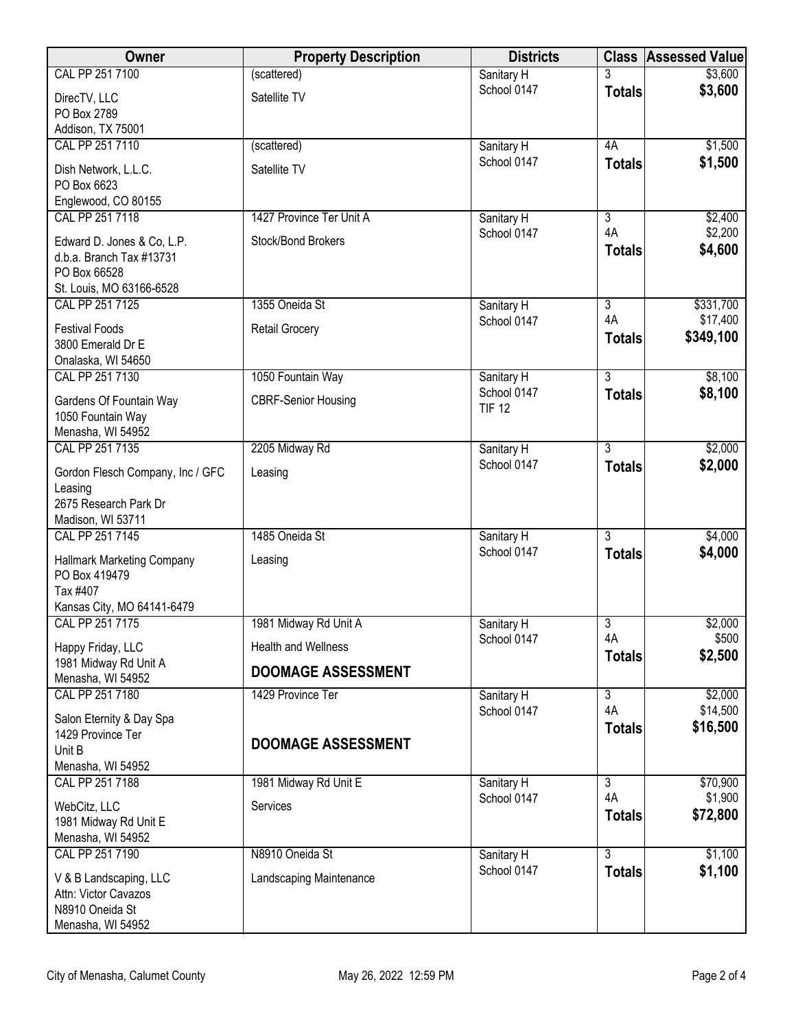| <b>Owner</b>                                       | <b>Property Description</b> | <b>Districts</b>             |                      | <b>Class Assessed Value</b> |
|----------------------------------------------------|-----------------------------|------------------------------|----------------------|-----------------------------|
| CAL PP 251 7100                                    | (scattered)                 | Sanitary H                   |                      | \$3,600                     |
| DirecTV, LLC                                       | Satellite TV                | School 0147                  | <b>Totals</b>        | \$3,600                     |
| PO Box 2789                                        |                             |                              |                      |                             |
| Addison, TX 75001                                  |                             |                              |                      |                             |
| CAL PP 251 7110                                    | (scattered)                 | Sanitary H<br>School 0147    | 4A                   | \$1,500                     |
| Dish Network, L.L.C.                               | Satellite TV                |                              | <b>Totals</b>        | \$1,500                     |
| PO Box 6623                                        |                             |                              |                      |                             |
| Englewood, CO 80155<br>CAL PP 251 7118             | 1427 Province Ter Unit A    | Sanitary H                   | $\overline{3}$       | \$2,400                     |
|                                                    |                             | School 0147                  | 4A                   | \$2,200                     |
| Edward D. Jones & Co, L.P.                         | Stock/Bond Brokers          |                              | <b>Totals</b>        | \$4,600                     |
| d.b.a. Branch Tax #13731<br>PO Box 66528           |                             |                              |                      |                             |
| St. Louis, MO 63166-6528                           |                             |                              |                      |                             |
| CAL PP 251 7125                                    | 1355 Oneida St              | Sanitary H                   | $\overline{3}$       | \$331,700                   |
| <b>Festival Foods</b>                              | <b>Retail Grocery</b>       | School 0147                  | 4A                   | \$17,400                    |
| 3800 Emerald Dr E                                  |                             |                              | <b>Totals</b>        | \$349,100                   |
| Onalaska, WI 54650                                 |                             |                              |                      |                             |
| CAL PP 251 7130                                    | 1050 Fountain Way           | Sanitary H                   | $\overline{3}$       | \$8,100                     |
| Gardens Of Fountain Way                            | <b>CBRF-Senior Housing</b>  | School 0147<br><b>TIF 12</b> | <b>Totals</b>        | \$8,100                     |
| 1050 Fountain Way                                  |                             |                              |                      |                             |
| Menasha, WI 54952                                  |                             |                              |                      |                             |
| CAL PP 251 7135                                    | 2205 Midway Rd              | Sanitary H                   | $\overline{3}$       | \$2,000                     |
| Gordon Flesch Company, Inc / GFC                   | Leasing                     | School 0147                  | <b>Totals</b>        | \$2,000                     |
| Leasing                                            |                             |                              |                      |                             |
| 2675 Research Park Dr<br>Madison, WI 53711         |                             |                              |                      |                             |
| CAL PP 251 7145                                    | 1485 Oneida St              | Sanitary H                   | $\overline{3}$       | \$4,000                     |
|                                                    |                             | School 0147                  | <b>Totals</b>        | \$4,000                     |
| <b>Hallmark Marketing Company</b><br>PO Box 419479 | Leasing                     |                              |                      |                             |
| Tax #407                                           |                             |                              |                      |                             |
| Kansas City, MO 64141-6479                         |                             |                              |                      |                             |
| CAL PP 251 7175                                    | 1981 Midway Rd Unit A       | Sanitary H                   | $\overline{3}$       | \$2,000                     |
| Happy Friday, LLC                                  | <b>Health and Wellness</b>  | School 0147                  | 4A                   | \$500                       |
| 1981 Midway Rd Unit A                              | <b>DOOMAGE ASSESSMENT</b>   |                              | <b>Totals</b>        | \$2,500                     |
| Menasha, WI 54952                                  |                             |                              |                      |                             |
| CAL PP 251 7180                                    | 1429 Province Ter           | Sanitary H                   | $\overline{3}$<br>4A | \$2,000<br>\$14,500         |
| Salon Eternity & Day Spa                           |                             | School 0147                  | <b>Totals</b>        | \$16,500                    |
| 1429 Province Ter                                  | <b>DOOMAGE ASSESSMENT</b>   |                              |                      |                             |
| Unit B<br>Menasha, WI 54952                        |                             |                              |                      |                             |
| CAL PP 251 7188                                    | 1981 Midway Rd Unit E       | Sanitary H                   | $\overline{3}$       | \$70,900                    |
|                                                    |                             | School 0147                  | 4A                   | \$1,900                     |
| WebCitz, LLC<br>1981 Midway Rd Unit E              | Services                    |                              | <b>Totals</b>        | \$72,800                    |
| Menasha, WI 54952                                  |                             |                              |                      |                             |
| CAL PP 251 7190                                    | N8910 Oneida St             | Sanitary H                   | $\overline{3}$       | \$1,100                     |
| V & B Landscaping, LLC                             | Landscaping Maintenance     | School 0147                  | <b>Totals</b>        | \$1,100                     |
| Attn: Victor Cavazos                               |                             |                              |                      |                             |
| N8910 Oneida St                                    |                             |                              |                      |                             |
| Menasha, WI 54952                                  |                             |                              |                      |                             |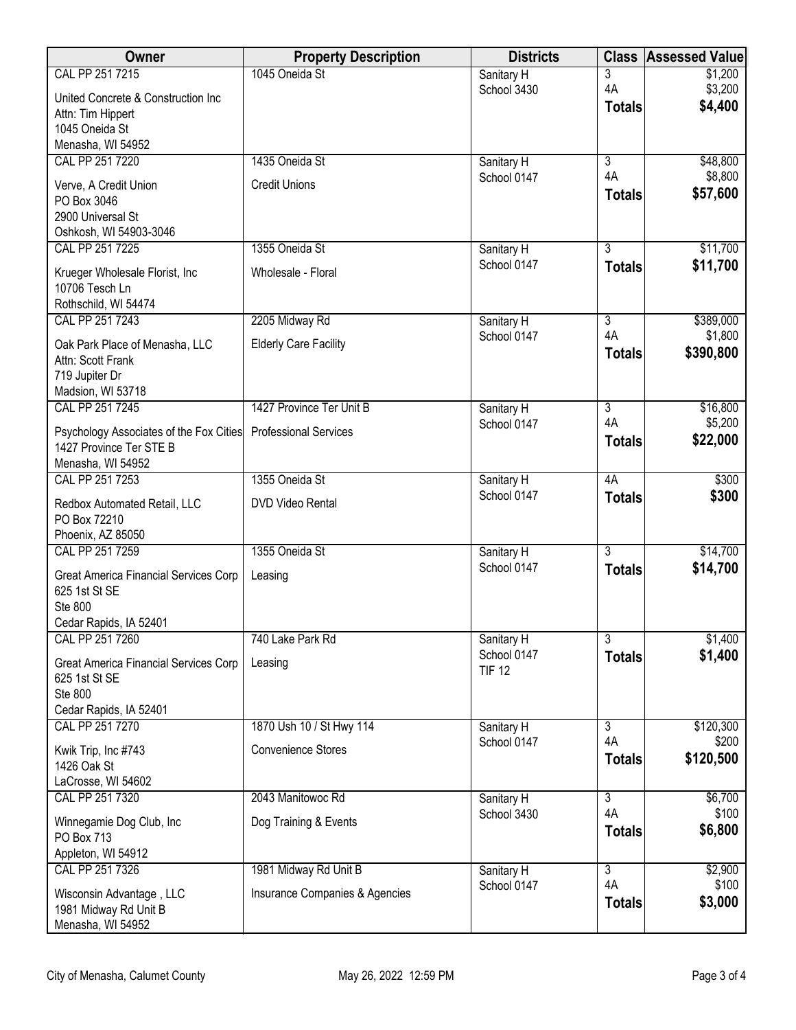| Owner                                                              | <b>Property Description</b>    | <b>Districts</b>             | <b>Class</b>         | <b>Assessed Value</b> |
|--------------------------------------------------------------------|--------------------------------|------------------------------|----------------------|-----------------------|
| CAL PP 251 7215                                                    | 1045 Oneida St                 | Sanitary H                   | 3                    | \$1,200               |
| United Concrete & Construction Inc                                 |                                | School 3430                  | 4A<br><b>Totals</b>  | \$3,200<br>\$4,400    |
| Attn: Tim Hippert<br>1045 Oneida St                                |                                |                              |                      |                       |
| Menasha, WI 54952                                                  |                                |                              |                      |                       |
| CAL PP 251 7220                                                    | 1435 Oneida St                 | Sanitary H                   | $\overline{3}$       | \$48,800              |
| Verve, A Credit Union                                              | <b>Credit Unions</b>           | School 0147                  | 4A                   | \$8,800               |
| PO Box 3046                                                        |                                |                              | <b>Totals</b>        | \$57,600              |
| 2900 Universal St                                                  |                                |                              |                      |                       |
| Oshkosh, WI 54903-3046<br>CAL PP 251 7225                          | 1355 Oneida St                 | Sanitary H                   | $\overline{3}$       | \$11,700              |
|                                                                    |                                | School 0147                  | <b>Totals</b>        | \$11,700              |
| Krueger Wholesale Florist, Inc<br>10706 Tesch Ln                   | Wholesale - Floral             |                              |                      |                       |
| Rothschild, WI 54474                                               |                                |                              |                      |                       |
| CAL PP 251 7243                                                    | 2205 Midway Rd                 | Sanitary H                   | $\overline{3}$       | \$389,000             |
| Oak Park Place of Menasha, LLC                                     | <b>Elderly Care Facility</b>   | School 0147                  | 4A                   | \$1,800               |
| Attn: Scott Frank                                                  |                                |                              | <b>Totals</b>        | \$390,800             |
| 719 Jupiter Dr                                                     |                                |                              |                      |                       |
| Madsion, WI 53718<br>CAL PP 251 7245                               | 1427 Province Ter Unit B       | Sanitary H                   | $\overline{3}$       | \$16,800              |
|                                                                    | <b>Professional Services</b>   | School 0147                  | 4A                   | \$5,200               |
| Psychology Associates of the Fox Cities<br>1427 Province Ter STE B |                                |                              | <b>Totals</b>        | \$22,000              |
| Menasha, WI 54952                                                  |                                |                              |                      |                       |
| CAL PP 251 7253                                                    | 1355 Oneida St                 | Sanitary H                   | 4A                   | \$300                 |
| Redbox Automated Retail, LLC                                       | DVD Video Rental               | School 0147                  | <b>Totals</b>        | \$300                 |
| PO Box 72210                                                       |                                |                              |                      |                       |
| Phoenix, AZ 85050<br>CAL PP 251 7259                               | 1355 Oneida St                 | Sanitary H                   | $\overline{3}$       | \$14,700              |
|                                                                    |                                | School 0147                  | <b>Totals</b>        | \$14,700              |
| Great America Financial Services Corp<br>625 1st St SE             | Leasing                        |                              |                      |                       |
| Ste 800                                                            |                                |                              |                      |                       |
| Cedar Rapids, IA 52401                                             |                                |                              |                      |                       |
| CAL PP 251 7260                                                    | 740 Lake Park Rd               | Sanitary H                   | $\overline{3}$       | \$1,400               |
| Great America Financial Services Corp                              | Leasing                        | School 0147<br><b>TIF 12</b> | <b>Totals</b>        | \$1,400               |
| 625 1st St SE<br>Ste 800                                           |                                |                              |                      |                       |
| Cedar Rapids, IA 52401                                             |                                |                              |                      |                       |
| CAL PP 251 7270                                                    | 1870 Ush 10 / St Hwy 114       | Sanitary H                   | $\overline{3}$       | \$120,300             |
| Kwik Trip, Inc #743                                                | Convenience Stores             | School 0147                  | 4A                   | \$200                 |
| 1426 Oak St                                                        |                                |                              | <b>Totals</b>        | \$120,500             |
| LaCrosse, WI 54602                                                 |                                |                              |                      |                       |
| CAL PP 251 7320                                                    | 2043 Manitowoc Rd              | Sanitary H<br>School 3430    | $\overline{3}$<br>4A | \$6,700<br>\$100      |
| Winnegamie Dog Club, Inc                                           | Dog Training & Events          |                              | <b>Totals</b>        | \$6,800               |
| PO Box 713<br>Appleton, WI 54912                                   |                                |                              |                      |                       |
| CAL PP 251 7326                                                    | 1981 Midway Rd Unit B          | Sanitary H                   | $\overline{3}$       | \$2,900               |
| Wisconsin Advantage, LLC                                           | Insurance Companies & Agencies | School 0147                  | 4A                   | \$100                 |
| 1981 Midway Rd Unit B                                              |                                |                              | <b>Totals</b>        | \$3,000               |
| Menasha, WI 54952                                                  |                                |                              |                      |                       |